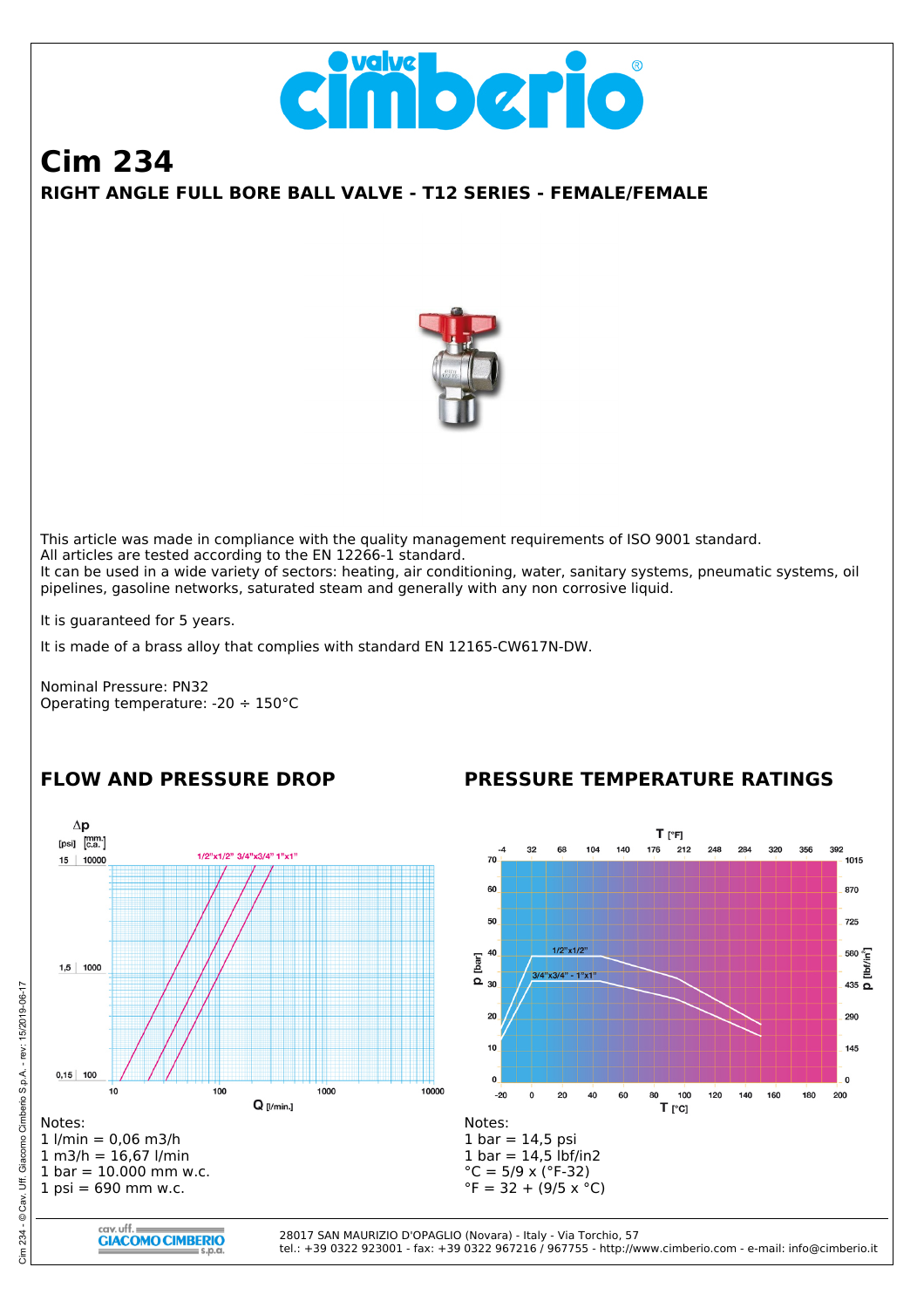

# **RIGHT ANGLE FULL BORE BALL VALVE - T12 SERIES - FEMALE/FEMALE Cim 234**



This article was made in compliance with the quality management requirements of ISO 9001 standard. All articles are tested according to the EN 12266-1 standard. It can be used in a wide variety of sectors: heating, air conditioning, water, sanitary systems, pneumatic systems, oil pipelines, gasoline networks, saturated steam and generally with any non corrosive liquid.

It is guaranteed for 5 years.

It is made of a brass alloy that complies with standard EN 12165-CW617N-DW.

Nominal Pressure: PN32 Operating temperature: -20 ÷ 150°C

### **FLOW AND PRESSURE DROP**

### **PRESSURE TEMPERATURE RATINGS**

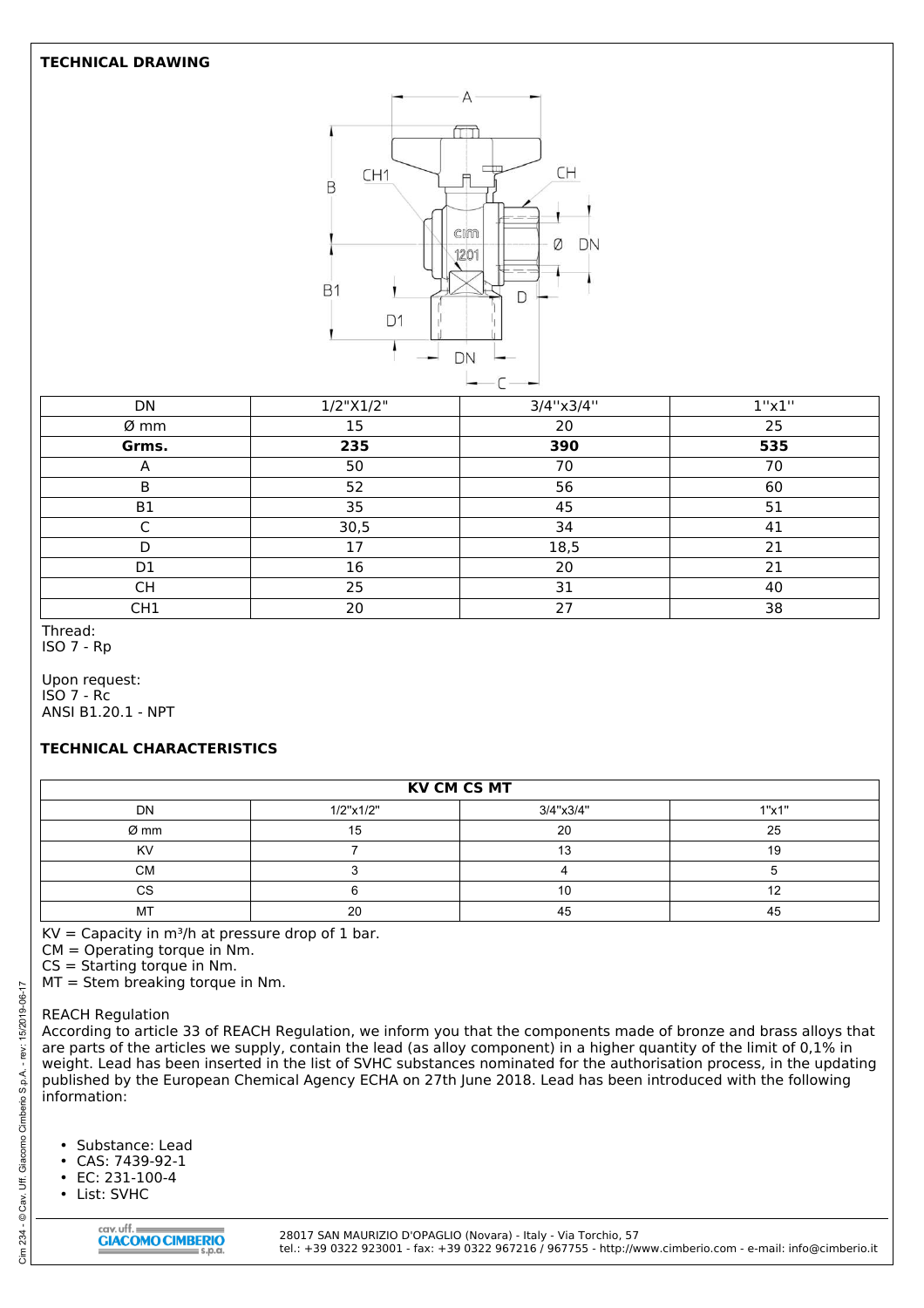#### **TECHNICAL DRAWING**



| DN              | 1/2"X1/2" | 3/4"x3/4" | 1"x1" |
|-----------------|-----------|-----------|-------|
| Ø mm            | 15        | 20        | 25    |
| Grms.           | 235       | 390       | 535   |
| $\mathsf{A}$    | 50        | 70        | 70    |
| B               | 52        | 56        | 60    |
| B <sub>1</sub>  | 35        | 45        | 51    |
|                 | 30,5      | 34        | 41    |
| D               | 17        | 18,5      | 21    |
| D <sub>1</sub>  | 16        | 20        | 21    |
| <b>CH</b>       | 25        | 31        | 40    |
| CH <sub>1</sub> | 20        | 27        | 38    |

Thread: ISO 7 - Rp

Upon request: ISO 7 - Rc ANSI B1.20.1 - NPT

### **TECHNICAL CHARACTERISTICS**

| <b>KV CM CS MT</b> |           |           |       |  |
|--------------------|-----------|-----------|-------|--|
| <b>DN</b>          | 1/2"x1/2" | 3/4"x3/4" | 1"x1" |  |
| Ø mm               |           | 20        | 25    |  |
| <b>KV</b>          |           |           |       |  |
| <b>CM</b>          |           |           |       |  |
| CS                 |           |           |       |  |
| МT                 |           | 45        |       |  |

 $KV = Capacity$  in m<sup>3</sup>/h at pressure drop of 1 bar.

CM = Operating torque in Nm.

CS = Starting torque in Nm.

MT = Stem breaking torque in Nm.

#### REACH Regulation

According to article 33 of REACH Regulation, we inform you that the components made of bronze and brass alloys that are parts of the articles we supply, contain the lead (as alloy component) in a higher quantity of the limit of 0,1% in weight. Lead has been inserted in the list of SVHC substances nominated for the authorisation process, in the updating published by the European Chemical Agency ECHA on 27th June 2018. Lead has been introduced with the following information:

- Substance: Lead
- CAS: 7439-92-1
- EC: 231-100-4
- List: SVHC

28017 SAN MAURIZIO D'OPAGLIO (Novara) - Italy - Via Torchio, 57 tel.: +39 0322 923001 - fax: +39 0322 967216 / 967755 - http://www.cimberio.com - e-mail: info@cimberio.it